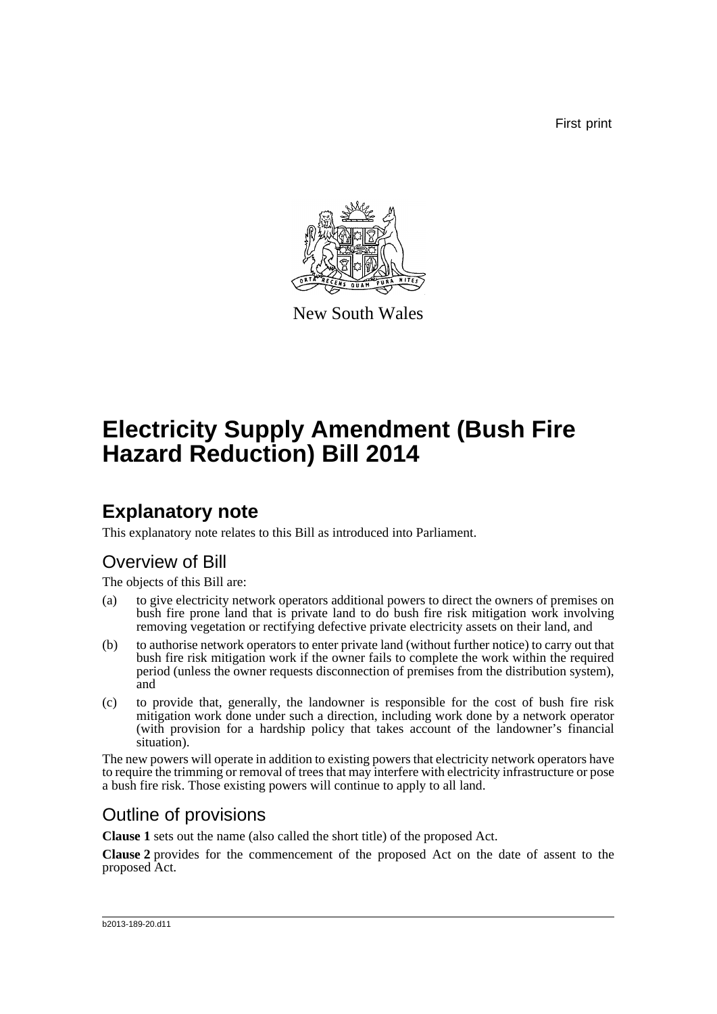First print



New South Wales

# **Electricity Supply Amendment (Bush Fire Hazard Reduction) Bill 2014**

## **Explanatory note**

This explanatory note relates to this Bill as introduced into Parliament.

## Overview of Bill

The objects of this Bill are:

- (a) to give electricity network operators additional powers to direct the owners of premises on bush fire prone land that is private land to do bush fire risk mitigation work involving removing vegetation or rectifying defective private electricity assets on their land, and
- (b) to authorise network operators to enter private land (without further notice) to carry out that bush fire risk mitigation work if the owner fails to complete the work within the required period (unless the owner requests disconnection of premises from the distribution system), and
- (c) to provide that, generally, the landowner is responsible for the cost of bush fire risk mitigation work done under such a direction, including work done by a network operator (with provision for a hardship policy that takes account of the landowner's financial situation).

The new powers will operate in addition to existing powers that electricity network operators have to require the trimming or removal of trees that may interfere with electricity infrastructure or pose a bush fire risk. Those existing powers will continue to apply to all land.

## Outline of provisions

**Clause 1** sets out the name (also called the short title) of the proposed Act.

**Clause 2** provides for the commencement of the proposed Act on the date of assent to the proposed Act.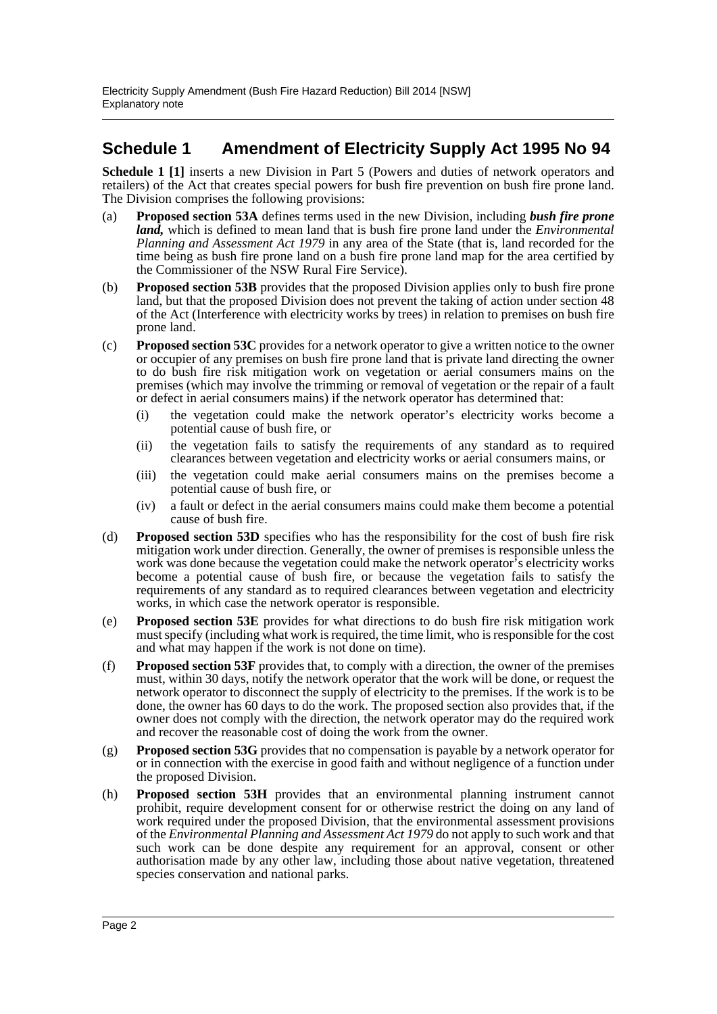### **Schedule 1 Amendment of Electricity Supply Act 1995 No 94**

**Schedule 1 [1]** inserts a new Division in Part 5 (Powers and duties of network operators and retailers) of the Act that creates special powers for bush fire prevention on bush fire prone land. The Division comprises the following provisions:

- (a) **Proposed section 53A** defines terms used in the new Division, including *bush fire prone land,* which is defined to mean land that is bush fire prone land under the *Environmental Planning and Assessment Act 1979* in any area of the State (that is, land recorded for the time being as bush fire prone land on a bush fire prone land map for the area certified by the Commissioner of the NSW Rural Fire Service).
- (b) **Proposed section 53B** provides that the proposed Division applies only to bush fire prone land, but that the proposed Division does not prevent the taking of action under section 48 of the Act (Interference with electricity works by trees) in relation to premises on bush fire prone land.
- (c) **Proposed section 53C** provides for a network operator to give a written notice to the owner or occupier of any premises on bush fire prone land that is private land directing the owner to do bush fire risk mitigation work on vegetation or aerial consumers mains on the premises (which may involve the trimming or removal of vegetation or the repair of a fault or defect in aerial consumers mains) if the network operator has determined that:
	- (i) the vegetation could make the network operator's electricity works become a potential cause of bush fire, or
	- (ii) the vegetation fails to satisfy the requirements of any standard as to required clearances between vegetation and electricity works or aerial consumers mains, or
	- (iii) the vegetation could make aerial consumers mains on the premises become a potential cause of bush fire, or
	- (iv) a fault or defect in the aerial consumers mains could make them become a potential cause of bush fire.
- (d) **Proposed section 53D** specifies who has the responsibility for the cost of bush fire risk mitigation work under direction. Generally, the owner of premises is responsible unless the work was done because the vegetation could make the network operator's electricity works become a potential cause of bush fire, or because the vegetation fails to satisfy the requirements of any standard as to required clearances between vegetation and electricity works, in which case the network operator is responsible.
- (e) **Proposed section 53E** provides for what directions to do bush fire risk mitigation work must specify (including what work is required, the time limit, who is responsible for the cost and what may happen if the work is not done on time).
- (f) **Proposed section 53F** provides that, to comply with a direction, the owner of the premises must, within 30 days, notify the network operator that the work will be done, or request the network operator to disconnect the supply of electricity to the premises. If the work is to be done, the owner has 60 days to do the work. The proposed section also provides that, if the owner does not comply with the direction, the network operator may do the required work and recover the reasonable cost of doing the work from the owner.
- (g) **Proposed section 53G** provides that no compensation is payable by a network operator for or in connection with the exercise in good faith and without negligence of a function under the proposed Division.
- (h) **Proposed section 53H** provides that an environmental planning instrument cannot prohibit, require development consent for or otherwise restrict the doing on any land of work required under the proposed Division, that the environmental assessment provisions of the *Environmental Planning and Assessment Act 1979* do not apply to such work and that such work can be done despite any requirement for an approval, consent or other authorisation made by any other law, including those about native vegetation, threatened species conservation and national parks.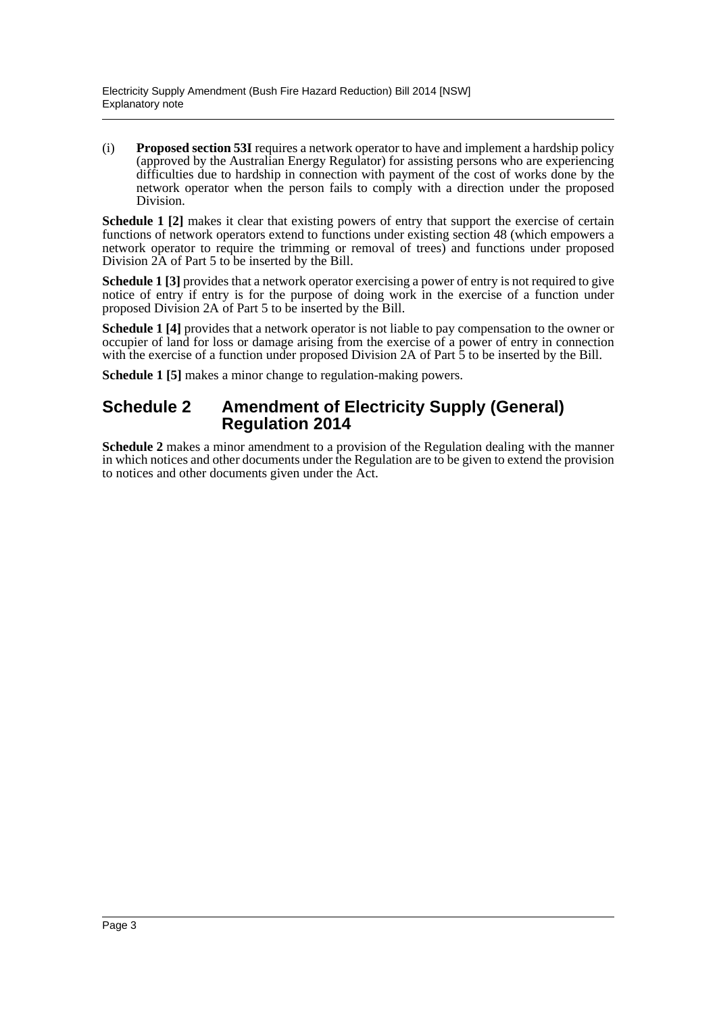(i) **Proposed section 53I** requires a network operator to have and implement a hardship policy (approved by the Australian Energy Regulator) for assisting persons who are experiencing difficulties due to hardship in connection with payment of the cost of works done by the network operator when the person fails to comply with a direction under the proposed Division.

**Schedule 1 [2]** makes it clear that existing powers of entry that support the exercise of certain functions of network operators extend to functions under existing section 48 (which empowers a network operator to require the trimming or removal of trees) and functions under proposed Division  $2A$  of Part 5 to be inserted by the Bill.

**Schedule 1 [3]** provides that a network operator exercising a power of entry is not required to give notice of entry if entry is for the purpose of doing work in the exercise of a function under proposed Division 2A of Part 5 to be inserted by the Bill.

**Schedule 1 [4]** provides that a network operator is not liable to pay compensation to the owner or occupier of land for loss or damage arising from the exercise of a power of entry in connection with the exercise of a function under proposed Division 2A of Part 5 to be inserted by the Bill.

**Schedule 1 [5]** makes a minor change to regulation-making powers.

### **Schedule 2 Amendment of Electricity Supply (General) Regulation 2014**

**Schedule 2** makes a minor amendment to a provision of the Regulation dealing with the manner in which notices and other documents under the Regulation are to be given to extend the provision to notices and other documents given under the Act.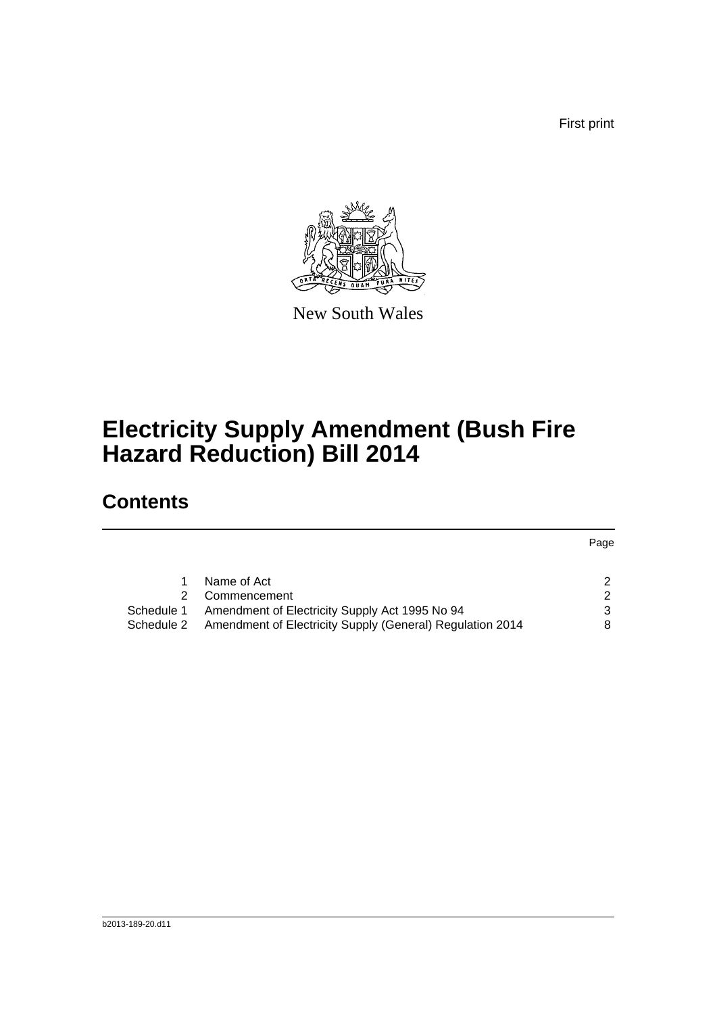First print



New South Wales

# **Electricity Supply Amendment (Bush Fire Hazard Reduction) Bill 2014**

# **Contents**

|            |                                                           | Page          |
|------------|-----------------------------------------------------------|---------------|
|            |                                                           |               |
|            | Name of Act                                               | 2             |
|            | Commencement                                              | $\mathcal{P}$ |
| Schedule 1 | Amendment of Electricity Supply Act 1995 No 94            | 3             |
| Schedule 2 | Amendment of Electricity Supply (General) Regulation 2014 | 8             |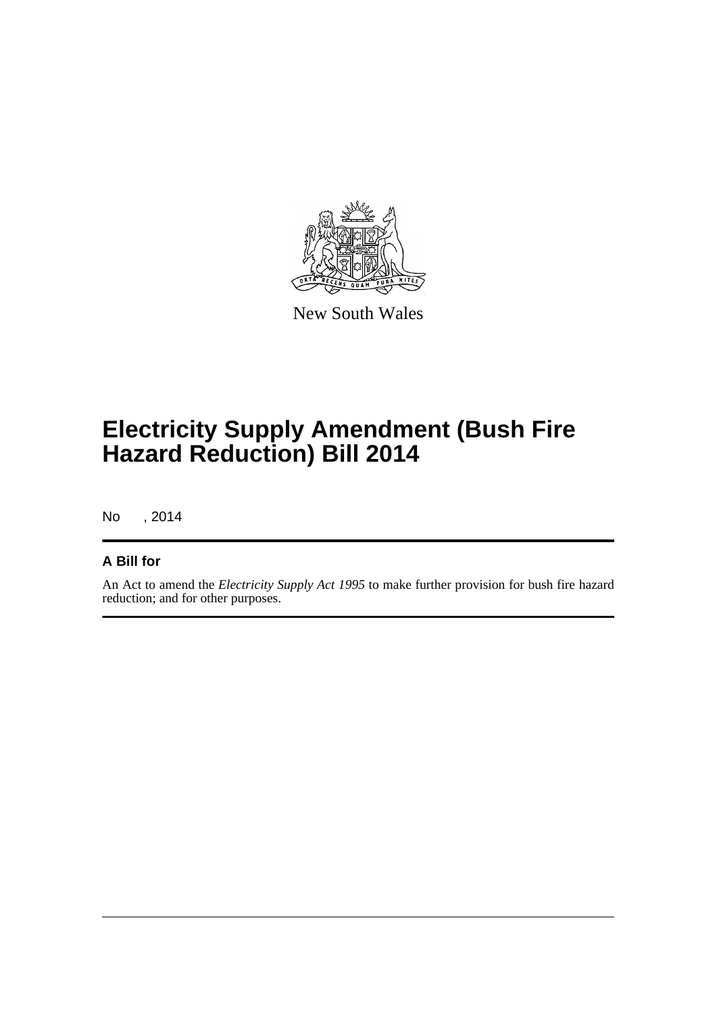

New South Wales

# **Electricity Supply Amendment (Bush Fire Hazard Reduction) Bill 2014**

No , 2014

### **A Bill for**

An Act to amend the *Electricity Supply Act 1995* to make further provision for bush fire hazard reduction; and for other purposes.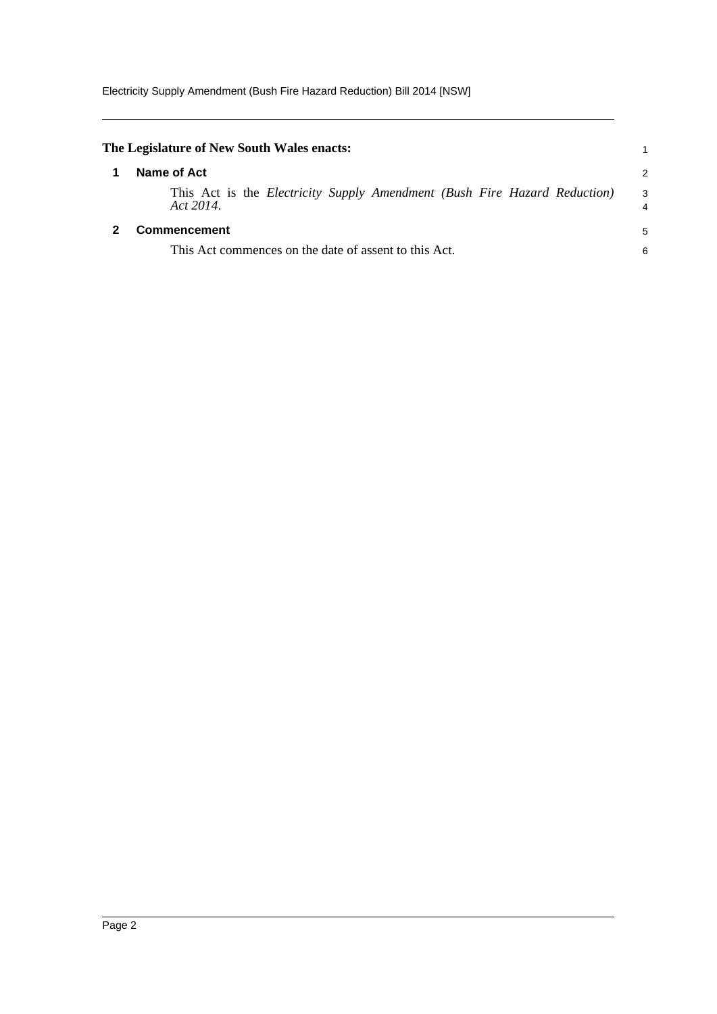<span id="page-5-1"></span><span id="page-5-0"></span>

| 2      |
|--------|
| 3<br>4 |
| 5      |
| 6      |
|        |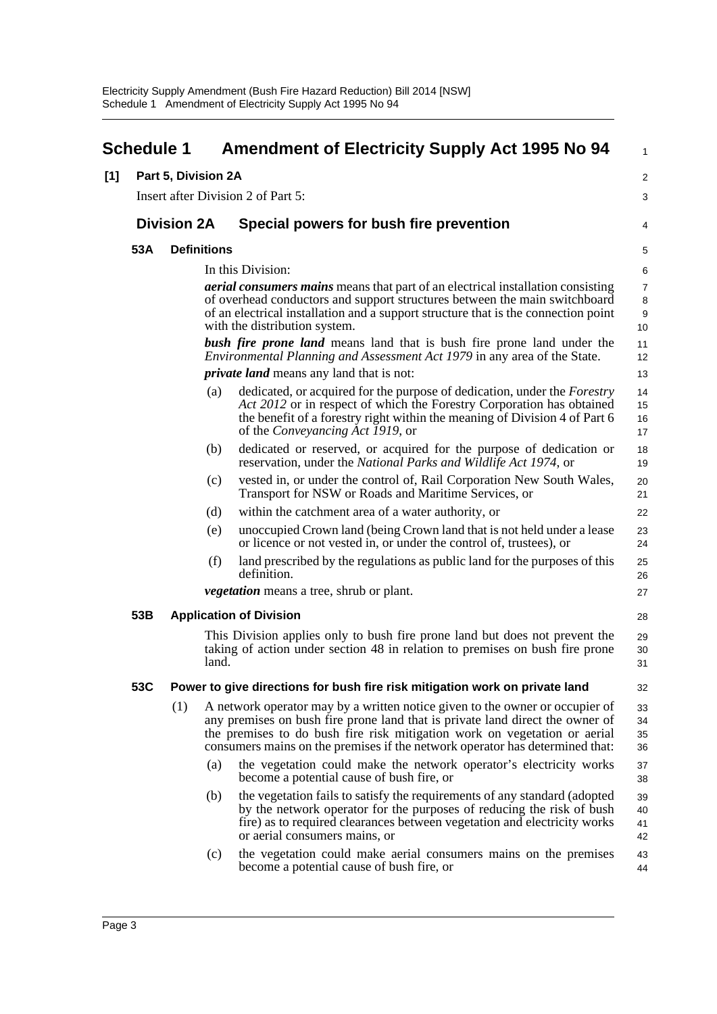<span id="page-6-0"></span>

|     | <b>Schedule 1</b>   |                                                                    |                    | <b>Amendment of Electricity Supply Act 1995 No 94</b>                                                                                                                                                                                                                                                                      | 1                    |  |  |
|-----|---------------------|--------------------------------------------------------------------|--------------------|----------------------------------------------------------------------------------------------------------------------------------------------------------------------------------------------------------------------------------------------------------------------------------------------------------------------------|----------------------|--|--|
| [1] | Part 5, Division 2A |                                                                    |                    |                                                                                                                                                                                                                                                                                                                            |                      |  |  |
|     |                     | $\overline{\mathbf{c}}$<br>Insert after Division 2 of Part 5:<br>3 |                    |                                                                                                                                                                                                                                                                                                                            |                      |  |  |
|     |                     | <b>Division 2A</b>                                                 |                    | Special powers for bush fire prevention                                                                                                                                                                                                                                                                                    | 4                    |  |  |
|     | 53A                 |                                                                    | <b>Definitions</b> |                                                                                                                                                                                                                                                                                                                            | 5                    |  |  |
|     |                     |                                                                    |                    | In this Division:                                                                                                                                                                                                                                                                                                          | 6                    |  |  |
|     |                     |                                                                    |                    | <i>derial consumers mains</i> means that part of an electrical installation consisting<br>of overhead conductors and support structures between the main switchboard<br>of an electrical installation and a support structure that is the connection point<br>with the distribution system.                                | 7<br>8<br>9<br>10    |  |  |
|     |                     |                                                                    |                    | <b>bush fire prone land</b> means land that is bush fire prone land under the<br>Environmental Planning and Assessment Act 1979 in any area of the State.                                                                                                                                                                  | 11<br>12             |  |  |
|     |                     |                                                                    |                    | <i>private land</i> means any land that is not:                                                                                                                                                                                                                                                                            | 13                   |  |  |
|     |                     |                                                                    | (a)                | dedicated, or acquired for the purpose of dedication, under the <i>Forestry</i><br>Act 2012 or in respect of which the Forestry Corporation has obtained<br>the benefit of a forestry right within the meaning of Division 4 of Part 6<br>of the Conveyancing Act 1919, or                                                 | 14<br>15<br>16<br>17 |  |  |
|     |                     |                                                                    | (b)                | dedicated or reserved, or acquired for the purpose of dedication or<br>reservation, under the National Parks and Wildlife Act 1974, or                                                                                                                                                                                     | 18<br>19             |  |  |
|     |                     |                                                                    | (c)                | vested in, or under the control of, Rail Corporation New South Wales,<br>Transport for NSW or Roads and Maritime Services, or                                                                                                                                                                                              | 20<br>21             |  |  |
|     |                     |                                                                    | (d)                | within the catchment area of a water authority, or                                                                                                                                                                                                                                                                         | 22                   |  |  |
|     |                     |                                                                    | (e)                | unoccupied Crown land (being Crown land that is not held under a lease<br>or licence or not vested in, or under the control of, trustees), or                                                                                                                                                                              | 23<br>24             |  |  |
|     |                     |                                                                    | (f)                | land prescribed by the regulations as public land for the purposes of this<br>definition.                                                                                                                                                                                                                                  | 25<br>26             |  |  |
|     |                     |                                                                    |                    | <i>vegetation</i> means a tree, shrub or plant.                                                                                                                                                                                                                                                                            | 27                   |  |  |
|     | 53B                 |                                                                    |                    | <b>Application of Division</b>                                                                                                                                                                                                                                                                                             | 28                   |  |  |
|     |                     |                                                                    | land.              | This Division applies only to bush fire prone land but does not prevent the<br>taking of action under section 48 in relation to premises on bush fire prone                                                                                                                                                                | 29<br>30<br>31       |  |  |
|     | 53C                 |                                                                    |                    | Power to give directions for bush fire risk mitigation work on private land                                                                                                                                                                                                                                                | 32                   |  |  |
|     |                     | (1)                                                                |                    | A network operator may by a written notice given to the owner or occupier of<br>any premises on bush fire prone land that is private land direct the owner of<br>the premises to do bush fire risk mitigation work on vegetation or aerial<br>consumers mains on the premises if the network operator has determined that: | 33<br>34<br>35<br>36 |  |  |
|     |                     |                                                                    | (a)                | the vegetation could make the network operator's electricity works<br>become a potential cause of bush fire, or                                                                                                                                                                                                            | 37<br>38             |  |  |
|     |                     |                                                                    | (b)                | the vegetation fails to satisfy the requirements of any standard (adopted<br>by the network operator for the purposes of reducing the risk of bush<br>fire) as to required clearances between vegetation and electricity works<br>or aerial consumers mains, or                                                            | 39<br>40<br>41<br>42 |  |  |
|     |                     |                                                                    | (c)                | the vegetation could make aerial consumers mains on the premises<br>become a potential cause of bush fire, or                                                                                                                                                                                                              | 43<br>44             |  |  |
|     |                     |                                                                    |                    |                                                                                                                                                                                                                                                                                                                            |                      |  |  |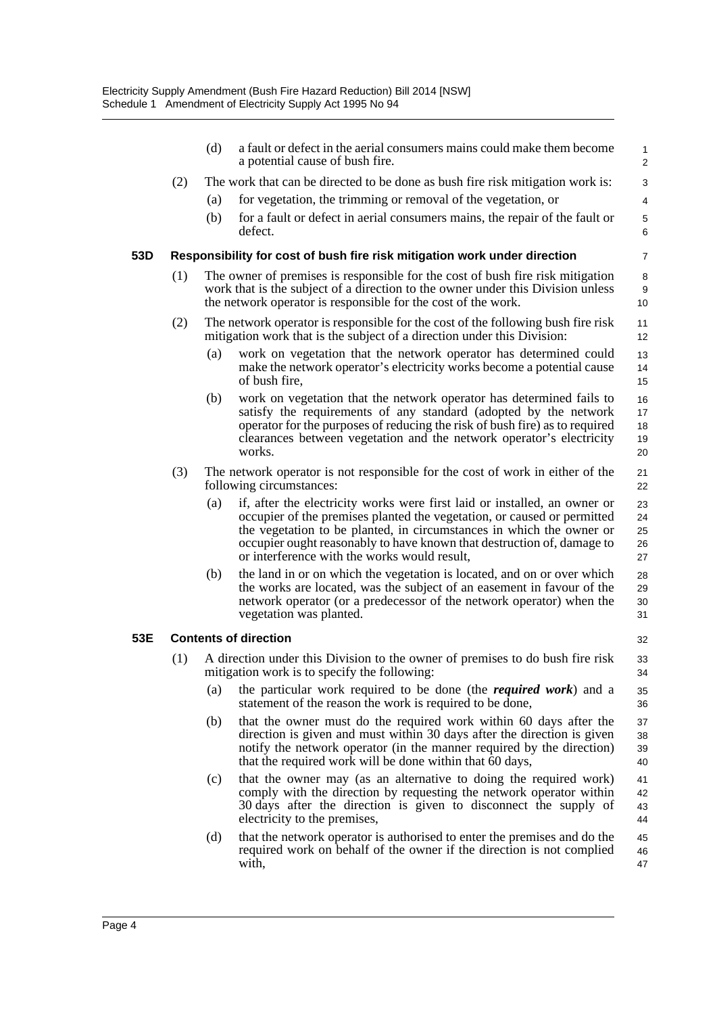|     |     | (d)                                                                                                                                                                                                                                | a fault or defect in the aerial consumers mains could make them become<br>a potential cause of bush fire.                                                                                                                                                                                                                                              | $\mathbf{1}$<br>2          |  |  |
|-----|-----|------------------------------------------------------------------------------------------------------------------------------------------------------------------------------------------------------------------------------------|--------------------------------------------------------------------------------------------------------------------------------------------------------------------------------------------------------------------------------------------------------------------------------------------------------------------------------------------------------|----------------------------|--|--|
|     | (2) |                                                                                                                                                                                                                                    | The work that can be directed to be done as bush fire risk mitigation work is:                                                                                                                                                                                                                                                                         | 3                          |  |  |
|     |     | (a)                                                                                                                                                                                                                                | for vegetation, the trimming or removal of the vegetation, or                                                                                                                                                                                                                                                                                          | 4                          |  |  |
|     |     | (b)                                                                                                                                                                                                                                | for a fault or defect in aerial consumers mains, the repair of the fault or<br>defect.                                                                                                                                                                                                                                                                 | 5<br>6                     |  |  |
| 53D |     |                                                                                                                                                                                                                                    | Responsibility for cost of bush fire risk mitigation work under direction                                                                                                                                                                                                                                                                              | 7                          |  |  |
|     | (1) | The owner of premises is responsible for the cost of bush fire risk mitigation<br>work that is the subject of a direction to the owner under this Division unless<br>the network operator is responsible for the cost of the work. |                                                                                                                                                                                                                                                                                                                                                        |                            |  |  |
|     | (2) |                                                                                                                                                                                                                                    | The network operator is responsible for the cost of the following bush fire risk<br>mitigation work that is the subject of a direction under this Division:                                                                                                                                                                                            | 11<br>12                   |  |  |
|     |     | (a)                                                                                                                                                                                                                                | work on vegetation that the network operator has determined could<br>make the network operator's electricity works become a potential cause<br>of bush fire,                                                                                                                                                                                           | 13<br>14<br>15             |  |  |
|     |     | (b)                                                                                                                                                                                                                                | work on vegetation that the network operator has determined fails to<br>satisfy the requirements of any standard (adopted by the network<br>operator for the purposes of reducing the risk of bush fire) as to required<br>clearances between vegetation and the network operator's electricity<br>works.                                              | 16<br>17<br>18<br>19<br>20 |  |  |
|     | (3) | The network operator is not responsible for the cost of work in either of the<br>21<br>following circumstances:                                                                                                                    |                                                                                                                                                                                                                                                                                                                                                        |                            |  |  |
|     |     | (a)                                                                                                                                                                                                                                | if, after the electricity works were first laid or installed, an owner or<br>occupier of the premises planted the vegetation, or caused or permitted<br>the vegetation to be planted, in circumstances in which the owner or<br>occupier ought reasonably to have known that destruction of, damage to<br>or interference with the works would result, | 23<br>24<br>25<br>26<br>27 |  |  |
|     |     | (b)                                                                                                                                                                                                                                | the land in or on which the vegetation is located, and on or over which<br>the works are located, was the subject of an easement in favour of the<br>network operator (or a predecessor of the network operator) when the<br>vegetation was planted.                                                                                                   | 28<br>29<br>30<br>31       |  |  |
| 53E |     | <b>Contents of direction</b>                                                                                                                                                                                                       |                                                                                                                                                                                                                                                                                                                                                        |                            |  |  |
|     | (1) |                                                                                                                                                                                                                                    | A direction under this Division to the owner of premises to do bush fire risk<br>mitigation work is to specify the following:                                                                                                                                                                                                                          | 33<br>34                   |  |  |
|     |     | (a)                                                                                                                                                                                                                                | the particular work required to be done (the <i>required work</i> ) and a<br>statement of the reason the work is required to be done,                                                                                                                                                                                                                  | 35<br>36                   |  |  |
|     |     | (b)                                                                                                                                                                                                                                | that the owner must do the required work within 60 days after the<br>direction is given and must within 30 days after the direction is given<br>notify the network operator (in the manner required by the direction)<br>that the required work will be done within that 60 days,                                                                      | 37<br>38<br>39<br>40       |  |  |
|     |     | (c)                                                                                                                                                                                                                                | that the owner may (as an alternative to doing the required work)<br>comply with the direction by requesting the network operator within<br>30 days after the direction is given to disconnect the supply of<br>electricity to the premises,                                                                                                           | 41<br>42<br>43<br>44       |  |  |
|     |     | (d)                                                                                                                                                                                                                                | that the network operator is authorised to enter the premises and do the<br>required work on behalf of the owner if the direction is not complied<br>with,                                                                                                                                                                                             | 45<br>46<br>47             |  |  |
|     |     |                                                                                                                                                                                                                                    |                                                                                                                                                                                                                                                                                                                                                        |                            |  |  |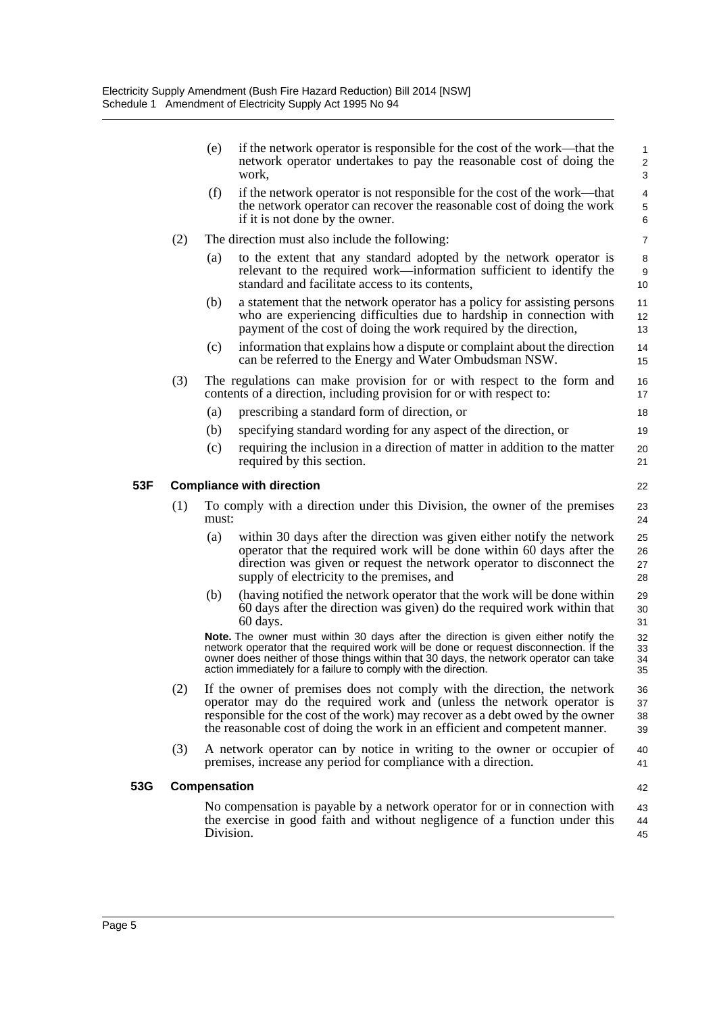|     | (e)                                                                                                                                                                                                                                                                                                                                    | if the network operator is responsible for the cost of the work—that the<br>network operator undertakes to pay the reasonable cost of doing the<br>work,                                                                                                               | 1<br>2<br>3                 |
|-----|----------------------------------------------------------------------------------------------------------------------------------------------------------------------------------------------------------------------------------------------------------------------------------------------------------------------------------------|------------------------------------------------------------------------------------------------------------------------------------------------------------------------------------------------------------------------------------------------------------------------|-----------------------------|
|     | (f)                                                                                                                                                                                                                                                                                                                                    | if the network operator is not responsible for the cost of the work—that<br>the network operator can recover the reasonable cost of doing the work<br>if it is not done by the owner.                                                                                  | 4<br>5<br>6                 |
| (2) |                                                                                                                                                                                                                                                                                                                                        | The direction must also include the following:                                                                                                                                                                                                                         | 7                           |
|     | (a)                                                                                                                                                                                                                                                                                                                                    | to the extent that any standard adopted by the network operator is<br>relevant to the required work—information sufficient to identify the<br>standard and facilitate access to its contents,                                                                          | 8<br>9<br>10                |
|     | (b)                                                                                                                                                                                                                                                                                                                                    | a statement that the network operator has a policy for assisting persons<br>who are experiencing difficulties due to hardship in connection with<br>payment of the cost of doing the work required by the direction,                                                   | 11<br>12 <sup>2</sup><br>13 |
|     | (c)                                                                                                                                                                                                                                                                                                                                    | information that explains how a dispute or complaint about the direction<br>can be referred to the Energy and Water Ombudsman NSW.                                                                                                                                     | 14<br>15                    |
| (3) |                                                                                                                                                                                                                                                                                                                                        | The regulations can make provision for or with respect to the form and<br>contents of a direction, including provision for or with respect to:                                                                                                                         | 16<br>17                    |
|     | (a)                                                                                                                                                                                                                                                                                                                                    | prescribing a standard form of direction, or                                                                                                                                                                                                                           | 18                          |
|     | (b)                                                                                                                                                                                                                                                                                                                                    | specifying standard wording for any aspect of the direction, or                                                                                                                                                                                                        | 19                          |
|     | (c)                                                                                                                                                                                                                                                                                                                                    | requiring the inclusion in a direction of matter in addition to the matter<br>required by this section.                                                                                                                                                                | 20<br>21                    |
|     |                                                                                                                                                                                                                                                                                                                                        | <b>Compliance with direction</b>                                                                                                                                                                                                                                       | 22                          |
| (1) | must:                                                                                                                                                                                                                                                                                                                                  | To comply with a direction under this Division, the owner of the premises                                                                                                                                                                                              | 23<br>24                    |
|     | (a)                                                                                                                                                                                                                                                                                                                                    | within 30 days after the direction was given either notify the network<br>operator that the required work will be done within 60 days after the<br>direction was given or request the network operator to disconnect the<br>supply of electricity to the premises, and | 25<br>26<br>27<br>28        |
|     | (b)                                                                                                                                                                                                                                                                                                                                    | (having notified the network operator that the work will be done within<br>60 days after the direction was given) do the required work within that<br>60 days.                                                                                                         | 29<br>30<br>31              |
|     | Note. The owner must within 30 days after the direction is given either notify the<br>network operator that the required work will be done or request disconnection. If the<br>owner does neither of those things within that 30 days, the network operator can take<br>action immediately for a failure to comply with the direction. |                                                                                                                                                                                                                                                                        | 32<br>33<br>34<br>35        |
| (2) | If the owner of premises does not comply with the direction, the network<br>operator may do the required work and (unless the network operator is<br>responsible for the cost of the work) may recover as a debt owed by the owner<br>the reasonable cost of doing the work in an efficient and competent manner.                      |                                                                                                                                                                                                                                                                        |                             |
| (3) | A network operator can by notice in writing to the owner or occupier of<br>premises, increase any period for compliance with a direction.                                                                                                                                                                                              |                                                                                                                                                                                                                                                                        |                             |
|     | Compensation                                                                                                                                                                                                                                                                                                                           |                                                                                                                                                                                                                                                                        | 42                          |
|     |                                                                                                                                                                                                                                                                                                                                        | No compensation is payable by a network operator for or in connection with<br>the exercise in good faith and without negligence of a function under this                                                                                                               | 43<br>44                    |

53G

53F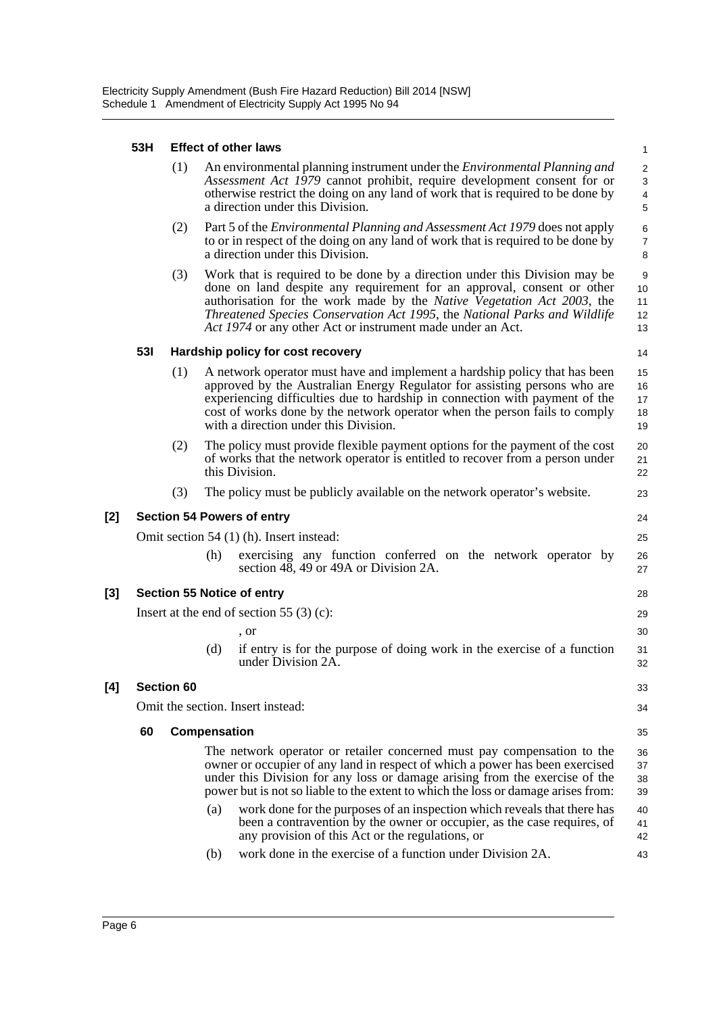#### **53H Effect of other laws**

- (1) An environmental planning instrument under the *Environmental Planning and Assessment Act 1979* cannot prohibit, require development consent for or otherwise restrict the doing on any land of work that is required to be done by a direction under this Division.
- (2) Part 5 of the *Environmental Planning and Assessment Act 1979* does not apply to or in respect of the doing on any land of work that is required to be done by a direction under this Division.
- (3) Work that is required to be done by a direction under this Division may be done on land despite any requirement for an approval, consent or other authorisation for the work made by the *Native Vegetation Act 2003*, the *Threatened Species Conservation Act 1995*, the *National Parks and Wildlife Act 1974* or any other Act or instrument made under an Act.

#### **53I Hardship policy for cost recovery**

14

23

24 25

33 34

35

43

- (1) A network operator must have and implement a hardship policy that has been approved by the Australian Energy Regulator for assisting persons who are experiencing difficulties due to hardship in connection with payment of the cost of works done by the network operator when the person fails to comply with a direction under this Division. 15 16 17 18 19
- (2) The policy must provide flexible payment options for the payment of the cost of works that the network operator is entitled to recover from a person under this Division.  $20$ 21 22
- (3) The policy must be publicly available on the network operator's website.

#### **[2] Section 54 Powers of entry**

Omit section 54 (1) (h). Insert instead:

(h) exercising any function conferred on the network operator by section 48, 49 or 49A or Division 2A. 26 27

#### **[3] Section 55 Notice of entry**

Insert at the end of section 55 (3) (c):

, or (d) if entry is for the purpose of doing work in the exercise of a function under Division 2A.

#### **[4] Section 60**

Omit the section. Insert instead:

#### **60 Compensation**

The network operator or retailer concerned must pay compensation to the owner or occupier of any land in respect of which a power has been exercised under this Division for any loss or damage arising from the exercise of the power but is not so liable to the extent to which the loss or damage arises from: 36 37 38 39

- (a) work done for the purposes of an inspection which reveals that there has been a contravention by the owner or occupier, as the case requires, of any provision of this Act or the regulations, or 40 41 42
- (b) work done in the exercise of a function under Division 2A.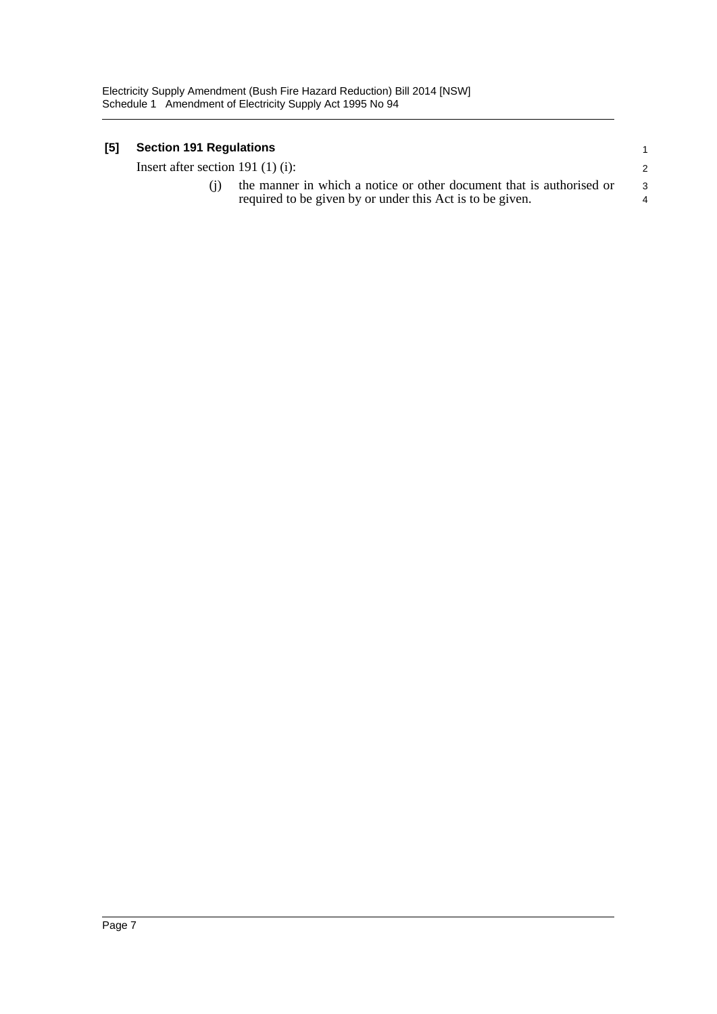### **[5] Section 191 Regulations**

Insert after section 191 (1) (i):

| (i) | the manner in which a notice or other document that is authorised or |  |
|-----|----------------------------------------------------------------------|--|
|     | required to be given by or under this Act is to be given.            |  |

1 2